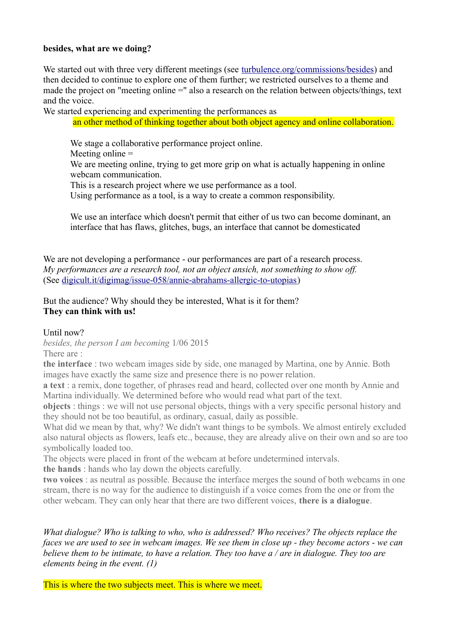## **besides, what are we doing?**

We started out with three very different meetings (see [turbulence.org/commissions/besides\)](http://turbulence.org/commissions/besides/) and then decided to continue to explore one of them further; we restricted ourselves to a theme and made the project on "meeting online =" also a research on the relation between objects/things, text and the voice.

We started experiencing and experimenting the performances as

an other method of thinking together about both object agency and online collaboration.

We stage a collaborative performance project online. Meeting online = We are meeting online, trying to get more grip on what is actually happening in online webcam communication. This is a research project where we use performance as a tool.

Using performance as a tool, is a way to create a common responsibility.

We use an interface which doesn't permit that either of us two can become dominant, an interface that has flaws, glitches, bugs, an interface that cannot be domesticated

We are not developing a performance - our performances are part of a research process. *My performances are a research tool, not an object ansich, not something to show off.* (See [digicult.it/digimag/issue-058/annie-abrahams-allergic-to-utopias\)](http://www.digicult.it/digimag/issue-058/annie-abrahams-allergic-to-utopias/)

But the audience? Why should they be interested, What is it for them? **They can think with us!**

## Until now?

*besides, the person I am becoming* 1/06 2015

There are :

**the interface** : two webcam images side by side, one managed by Martina, one by Annie. Both images have exactly the same size and presence there is no power relation.

**a text** : a remix, done together, of phrases read and heard, collected over one month by Annie and Martina individually. We determined before who would read what part of the text.

**objects** : things : we will not use personal objects, things with a very specific personal history and they should not be too beautiful, as ordinary, casual, daily as possible.

What did we mean by that, why? We didn't want things to be symbols. We almost entirely excluded also natural objects as flowers, leafs etc., because, they are already alive on their own and so are too symbolically loaded too.

The objects were placed in front of the webcam at before undetermined intervals.

**the hands** : hands who lay down the objects carefully.

**two voices** : as neutral as possible. Because the interface merges the sound of both webcams in one stream, there is no way for the audience to distinguish if a voice comes from the one or from the other webcam. They can only hear that there are two different voices, **there is a dialogue**.

*What dialogue? Who is talking to who, who is addressed? Who receives? The objects replace the faces we are used to see in webcam images. We see them in close up - they become actors - we can believe them to be intimate, to have a relation. They too have a / are in dialogue. They too are elements being in the event. (1)*

This is where the two subjects meet. This is where we meet.